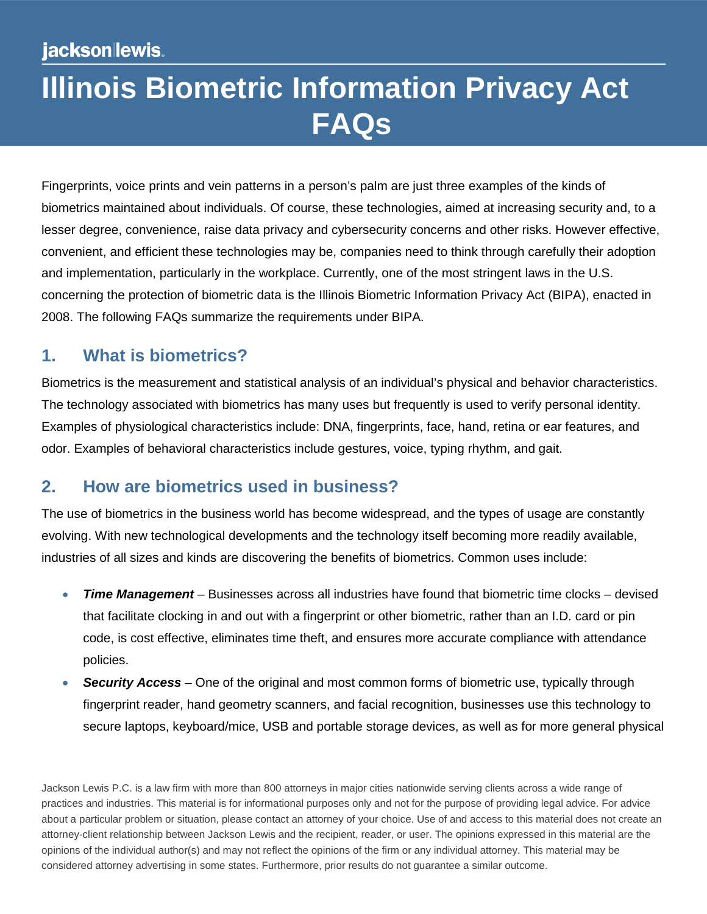# **Illinois Biometric Information Privacy Act FAQs**

Fingerprints, voice prints and vein patterns in a person's palm are just three examples of the kinds of biometrics maintained about individuals. Of course, these technologies, aimed at increasing security and, to a lesser degree, convenience, raise data privacy and cybersecurity concerns and other risks. However effective, convenient, and efficient these technologies may be, companies need to think through carefully their adoption and implementation, particularly in the workplace. Currently, one of the most stringent laws in the U.S. concerning the protection of biometric data is the Illinois Biometric Information Privacy Act (BIPA), enacted in 2008. The following FAQs summarize the requirements under BIPA.

#### **1. What is biometrics?**

Biometrics is the measurement and statistical analysis of an individual's physical and behavior characteristics. The technology associated with biometrics has many uses but frequently is used to verify personal identity. Examples of physiological characteristics include: DNA, fingerprints, face, hand, retina or ear features, and odor. Examples of behavioral characteristics include gestures, voice, typing rhythm, and gait.

#### **2. How are biometrics used in business?**

The use of biometrics in the business world has become widespread, and the types of usage are constantly evolving. With new technological developments and the technology itself becoming more readily available, industries of all sizes and kinds are discovering the benefits of biometrics. Common uses include:

- *Time Management* Businesses across all industries have found that biometric time clocks devised that facilitate clocking in and out with a fingerprint or other biometric, rather than an I.D. card or pin code, is cost effective, eliminates time theft, and ensures more accurate compliance with attendance policies.
- *Security Access* One of the original and most common forms of biometric use, typically through fingerprint reader, hand geometry scanners, and facial recognition, businesses use this technology to secure laptops, keyboard/mice, USB and portable storage devices, as well as for more general physical

Jackson Lewis P.C. is a law firm with more than 800 attorneys in major cities nationwide serving clients across a wide range of practices and industries. This material is for informational purposes only and not for the purpose of providing legal advice. For advice about a particular problem or situation, please contact an attorney of your choice. Use of and access to this material does not create an attorney-client relationship between Jackson Lewis and the recipient, reader, or user. The opinions expressed in this material are the opinions of the individual author(s) and may not reflect the opinions of the firm or any individual attorney. This material may be considered attorney advertising in some states. Furthermore, prior results do not guarantee a similar outcome.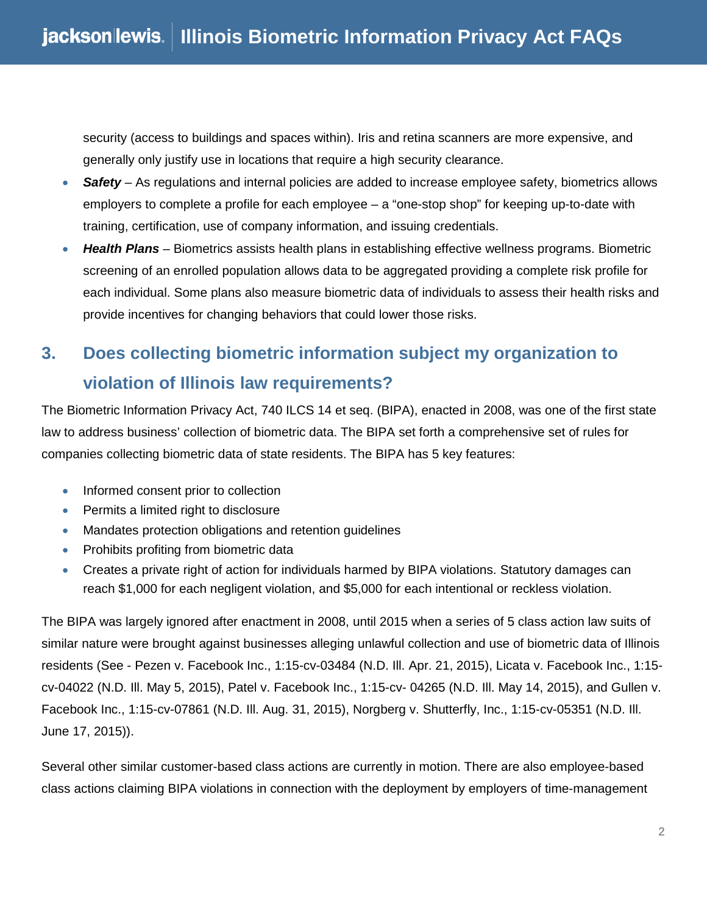security (access to buildings and spaces within). Iris and retina scanners are more expensive, and generally only justify use in locations that require a high security clearance.

- *Safety* As regulations and internal policies are added to increase employee safety, biometrics allows employers to complete a profile for each employee – a "one-stop shop" for keeping up-to-date with training, certification, use of company information, and issuing credentials.
- *Health Plans* Biometrics assists health plans in establishing effective wellness programs. Biometric screening of an enrolled population allows data to be aggregated providing a complete risk profile for each individual. Some plans also measure biometric data of individuals to assess their health risks and provide incentives for changing behaviors that could lower those risks.

# **3. Does collecting biometric information subject my organization to violation of Illinois law requirements?**

The Biometric Information Privacy Act, 740 ILCS 14 et seq. (BIPA), enacted in 2008, was one of the first state law to address business' collection of biometric data. The BIPA set forth a comprehensive set of rules for companies collecting biometric data of state residents. The BIPA has 5 key features:

- Informed consent prior to collection
- Permits a limited right to disclosure
- Mandates protection obligations and retention guidelines
- Prohibits profiting from biometric data
- Creates a private right of action for individuals harmed by BIPA violations. Statutory damages can reach \$1,000 for each negligent violation, and \$5,000 for each intentional or reckless violation.

The BIPA was largely ignored after enactment in 2008, until 2015 when a series of 5 class action law suits of similar nature were brought against businesses alleging unlawful collection and use of biometric data of Illinois residents (See - Pezen v. Facebook Inc., 1:15-cv-03484 (N.D. Ill. Apr. 21, 2015), Licata v. Facebook Inc., 1:15 cv-04022 (N.D. Ill. May 5, 2015), Patel v. Facebook Inc., 1:15-cv- 04265 (N.D. Ill. May 14, 2015), and Gullen v. Facebook Inc., 1:15-cv-07861 (N.D. Ill. Aug. 31, 2015), Norgberg v. Shutterfly, Inc., 1:15-cv-05351 (N.D. Ill. June 17, 2015)).

Several other similar customer-based class actions are currently in motion. There are also employee-based class actions claiming BIPA violations in connection with the deployment by employers of time-management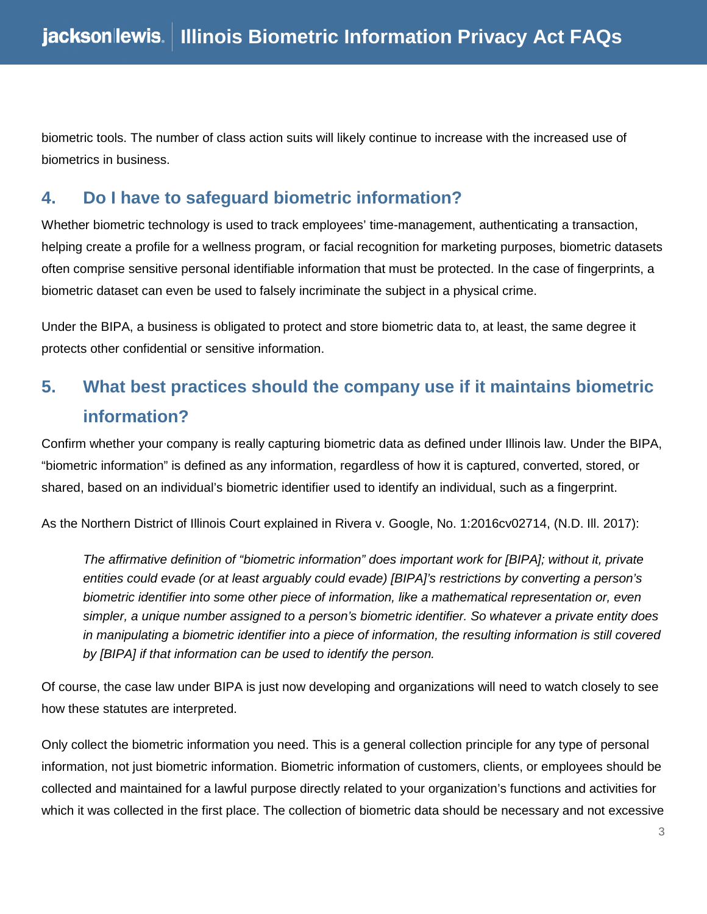biometric tools. The number of class action suits will likely continue to increase with the increased use of biometrics in business.

#### **4. Do I have to safeguard biometric information?**

Whether biometric technology is used to track employees' time-management, authenticating a transaction, helping create a profile for a wellness program, or facial recognition for marketing purposes, biometric datasets often comprise sensitive personal identifiable information that must be protected. In the case of fingerprints, a biometric dataset can even be used to falsely incriminate the subject in a physical crime.

Under the BIPA, a business is obligated to protect and store biometric data to, at least, the same degree it protects other confidential or sensitive information.

#### **5. What best practices should the company use if it maintains biometric information?**

Confirm whether your company is really capturing biometric data as defined under Illinois law. Under the BIPA, "biometric information" is defined as any information, regardless of how it is captured, converted, stored, or shared, based on an individual's biometric identifier used to identify an individual, such as a fingerprint.

As the Northern District of Illinois Court explained in Rivera v. Google, No. 1:2016cv02714, (N.D. Ill. 2017):

*The affirmative definition of "biometric information" does important work for [BIPA]; without it, private entities could evade (or at least arguably could evade) [BIPA]'s restrictions by converting a person's biometric identifier into some other piece of information, like a mathematical representation or, even simpler, a unique number assigned to a person's biometric identifier. So whatever a private entity does in manipulating a biometric identifier into a piece of information, the resulting information is still covered by [BIPA] if that information can be used to identify the person.* 

Of course, the case law under BIPA is just now developing and organizations will need to watch closely to see how these statutes are interpreted.

Only collect the biometric information you need. This is a general collection principle for any type of personal information, not just biometric information. Biometric information of customers, clients, or employees should be collected and maintained for a lawful purpose directly related to your organization's functions and activities for which it was collected in the first place. The collection of biometric data should be necessary and not excessive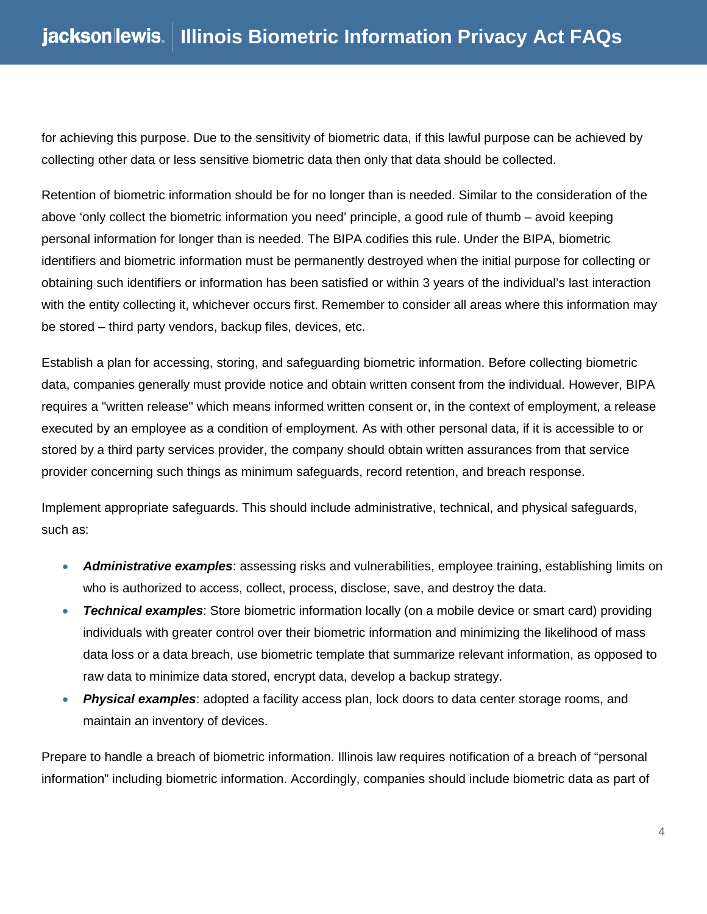for achieving this purpose. Due to the sensitivity of biometric data, if this lawful purpose can be achieved by collecting other data or less sensitive biometric data then only that data should be collected.

Retention of biometric information should be for no longer than is needed. Similar to the consideration of the above 'only collect the biometric information you need' principle, a good rule of thumb – avoid keeping personal information for longer than is needed. The BIPA codifies this rule. Under the BIPA, biometric identifiers and biometric information must be permanently destroyed when the initial purpose for collecting or obtaining such identifiers or information has been satisfied or within 3 years of the individual's last interaction with the entity collecting it, whichever occurs first. Remember to consider all areas where this information may be stored – third party vendors, backup files, devices, etc.

Establish a plan for accessing, storing, and safeguarding biometric information. Before collecting biometric data, companies generally must provide notice and obtain written consent from the individual. However, BIPA requires a "written release" which means informed written consent or, in the context of employment, a release executed by an employee as a condition of employment. As with other personal data, if it is accessible to or stored by a third party services provider, the company should obtain written assurances from that service provider concerning such things as minimum safeguards, record retention, and breach response.

Implement appropriate safeguards. This should include administrative, technical, and physical safeguards, such as:

- *Administrative examples*: assessing risks and vulnerabilities, employee training, establishing limits on who is authorized to access, collect, process, disclose, save, and destroy the data.
- *Technical examples*: Store biometric information locally (on a mobile device or smart card) providing individuals with greater control over their biometric information and minimizing the likelihood of mass data loss or a data breach, use biometric template that summarize relevant information, as opposed to raw data to minimize data stored, encrypt data, develop a backup strategy.
- *Physical examples*: adopted a facility access plan, lock doors to data center storage rooms, and maintain an inventory of devices.

Prepare to handle a breach of biometric information. Illinois law requires notification of a breach of "personal information" including biometric information. Accordingly, companies should include biometric data as part of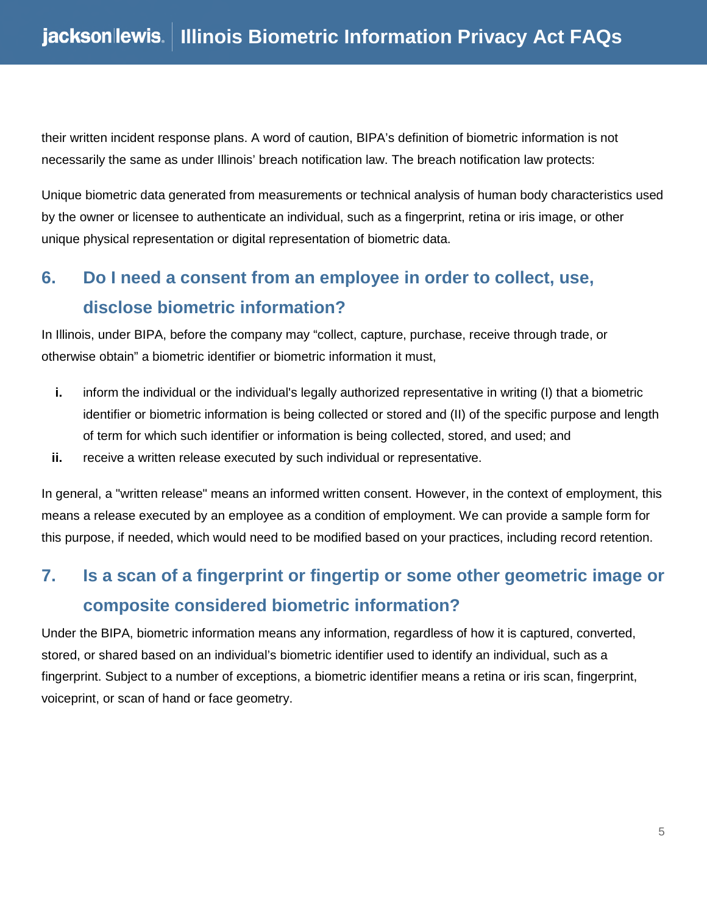their written incident response plans. A word of caution, BIPA's definition of biometric information is not necessarily the same as under Illinois' breach notification law. The breach notification law protects:

Unique biometric data generated from measurements or technical analysis of human body characteristics used by the owner or licensee to authenticate an individual, such as a fingerprint, retina or iris image, or other unique physical representation or digital representation of biometric data.

### **6. Do I need a consent from an employee in order to collect, use, disclose biometric information?**

In Illinois, under BIPA, before the company may "collect, capture, purchase, receive through trade, or otherwise obtain" a biometric identifier or biometric information it must,

- **i.** inform the individual or the individual's legally authorized representative in writing (I) that a biometric identifier or biometric information is being collected or stored and (II) of the specific purpose and length of term for which such identifier or information is being collected, stored, and used; and
- **ii.** receive a written release executed by such individual or representative.

In general, a "written release" means an informed written consent. However, in the context of employment, this means a release executed by an employee as a condition of employment. We can provide a sample form for this purpose, if needed, which would need to be modified based on your practices, including record retention.

# **7. Is a scan of a fingerprint or fingertip or some other geometric image or composite considered biometric information?**

Under the BIPA, biometric information means any information, regardless of how it is captured, converted, stored, or shared based on an individual's biometric identifier used to identify an individual, such as a fingerprint. Subject to a number of exceptions, a biometric identifier means a retina or iris scan, fingerprint, voiceprint, or scan of hand or face geometry.